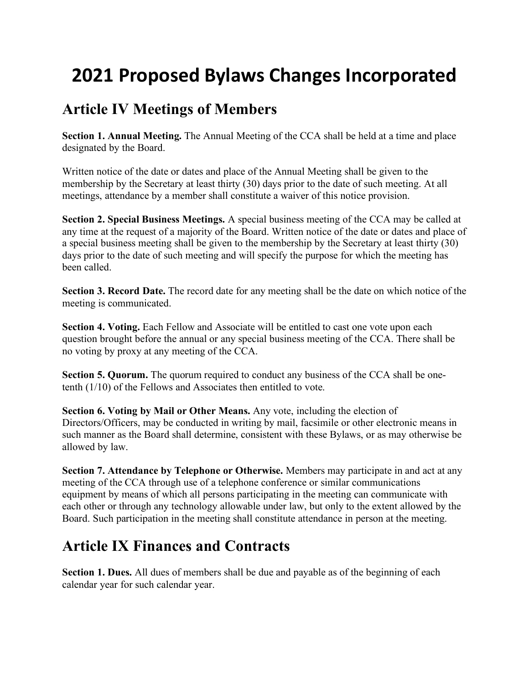## **2021 Proposed Bylaws Changes Incorporated**

## **Article IV Meetings of Members**

**Section 1. Annual Meeting.** The Annual Meeting of the CCA shall be held at a time and place designated by the Board.

Written notice of the date or dates and place of the Annual Meeting shall be given to the membership by the Secretary at least thirty (30) days prior to the date of such meeting. At all meetings, attendance by a member shall constitute a waiver of this notice provision.

**Section 2. Special Business Meetings.** A special business meeting of the CCA may be called at any time at the request of a majority of the Board. Written notice of the date or dates and place of a special business meeting shall be given to the membership by the Secretary at least thirty (30) days prior to the date of such meeting and will specify the purpose for which the meeting has been called.

**Section 3. Record Date.** The record date for any meeting shall be the date on which notice of the meeting is communicated.

Section 4. Voting. Each Fellow and Associate will be entitled to cast one vote upon each question brought before the annual or any special business meeting of the CCA. There shall be no voting by proxy at any meeting of the CCA.

**Section 5. Quorum.** The quorum required to conduct any business of the CCA shall be onetenth (1/10) of the Fellows and Associates then entitled to vote.

**Section 6. Voting by Mail or Other Means.** Any vote, including the election of Directors/Officers, may be conducted in writing by mail, facsimile or other electronic means in such manner as the Board shall determine, consistent with these Bylaws, or as may otherwise be allowed by law.

**Section 7. Attendance by Telephone or Otherwise.** Members may participate in and act at any meeting of the CCA through use of a telephone conference or similar communications equipment by means of which all persons participating in the meeting can communicate with each other or through any technology allowable under law, but only to the extent allowed by the Board. Such participation in the meeting shall constitute attendance in person at the meeting.

## **Article IX Finances and Contracts**

**Section 1. Dues.** All dues of members shall be due and payable as of the beginning of each calendar year for such calendar year.